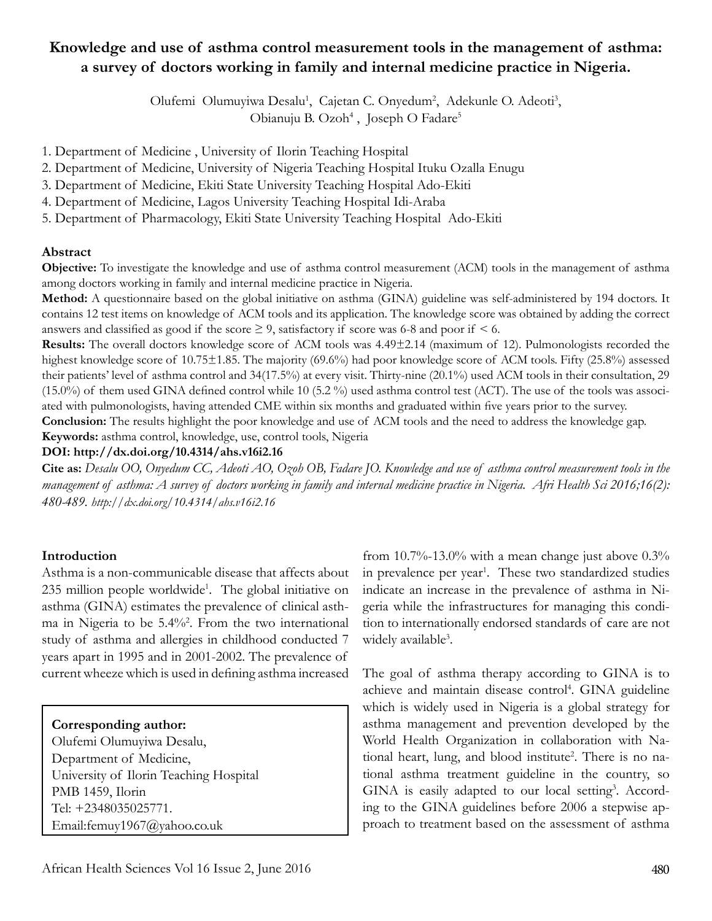# **Knowledge and use of asthma control measurement tools in the management of asthma: a survey of doctors working in family and internal medicine practice in Nigeria.**

Olufemi Olumuyiwa Desalu<sup>1</sup>, Cajetan C. Onyedum<sup>2</sup>, Adekunle O. Adeoti<sup>3</sup>, Obianuju B. Ozoh<sup>4</sup>, Joseph O Fadare<sup>5</sup>

1. Department of Medicine , University of Ilorin Teaching Hospital

- 2. Department of Medicine, University of Nigeria Teaching Hospital Ituku Ozalla Enugu
- 3. Department of Medicine, Ekiti State University Teaching Hospital Ado-Ekiti
- 4. Department of Medicine, Lagos University Teaching Hospital Idi-Araba
- 5. Department of Pharmacology, Ekiti State University Teaching Hospital Ado-Ekiti

# **Abstract**

**Objective:** To investigate the knowledge and use of asthma control measurement (ACM) tools in the management of asthma among doctors working in family and internal medicine practice in Nigeria.

**Method:** A questionnaire based on the global initiative on asthma (GINA) guideline was self-administered by 194 doctors. It contains 12 test items on knowledge of ACM tools and its application. The knowledge score was obtained by adding the correct answers and classified as good if the score  $\geq$  9, satisfactory if score was 6-8 and poor if < 6.

**Results:** The overall doctors knowledge score of ACM tools was 4.49±2.14 (maximum of 12). Pulmonologists recorded the highest knowledge score of 10.75±1.85. The majority (69.6%) had poor knowledge score of ACM tools. Fifty (25.8%) assessed their patients' level of asthma control and 34(17.5%) at every visit. Thirty-nine (20.1%) used ACM tools in their consultation, 29 (15.0%) of them used GINA defined control while 10 (5.2 %) used asthma control test (ACT). The use of the tools was associated with pulmonologists, having attended CME within six months and graduated within five years prior to the survey.

**Conclusion:** The results highlight the poor knowledge and use of ACM tools and the need to address the knowledge gap.

**Keywords:** asthma control, knowledge, use, control tools, Nigeria

#### **DOI: http://dx.doi.org/10.4314/ahs.v16i2.16**

**Cite as:** *Desalu OO, Onyedum CC, Adeoti AO, Ozoh OB, Fadare JO. Knowledge and use of asthma control measurement tools in the management of asthma: A survey of doctors working in family and internal medicine practice in Nigeria. Afri Health Sci 2016;16(2): 480-489. http://dx.doi.org/10.4314/ahs.v16i2.16*

# **Introduction**

Asthma is a non-communicable disease that affects about 235 million people worldwide<sup>1</sup>. The global initiative on asthma (GINA) estimates the prevalence of clinical asthma in Nigeria to be 5.4%<sup>2</sup> . From the two international study of asthma and allergies in childhood conducted 7 years apart in 1995 and in 2001-2002. The prevalence of current wheeze which is used in defining asthma increased

# **Corresponding author:**

Olufemi Olumuyiwa Desalu, Department of Medicine, University of Ilorin Teaching Hospital PMB 1459, Ilorin Tel: +2348035025771. Email:femuy1967@yahoo.co.uk

from  $10.7\%$ -13.0% with a mean change just above  $0.3\%$ in prevalence per year<sup>1</sup>. These two standardized studies indicate an increase in the prevalence of asthma in Nigeria while the infrastructures for managing this condition to internationally endorsed standards of care are not widely available<sup>3</sup>.

The goal of asthma therapy according to GINA is to achieve and maintain disease control<sup>4</sup>. GINA guideline which is widely used in Nigeria is a global strategy for asthma management and prevention developed by the World Health Organization in collaboration with National heart, lung, and blood institute<sup>2</sup>. There is no national asthma treatment guideline in the country, so GINA is easily adapted to our local setting<sup>3</sup>. According to the GINA guidelines before 2006 a stepwise approach to treatment based on the assessment of asthma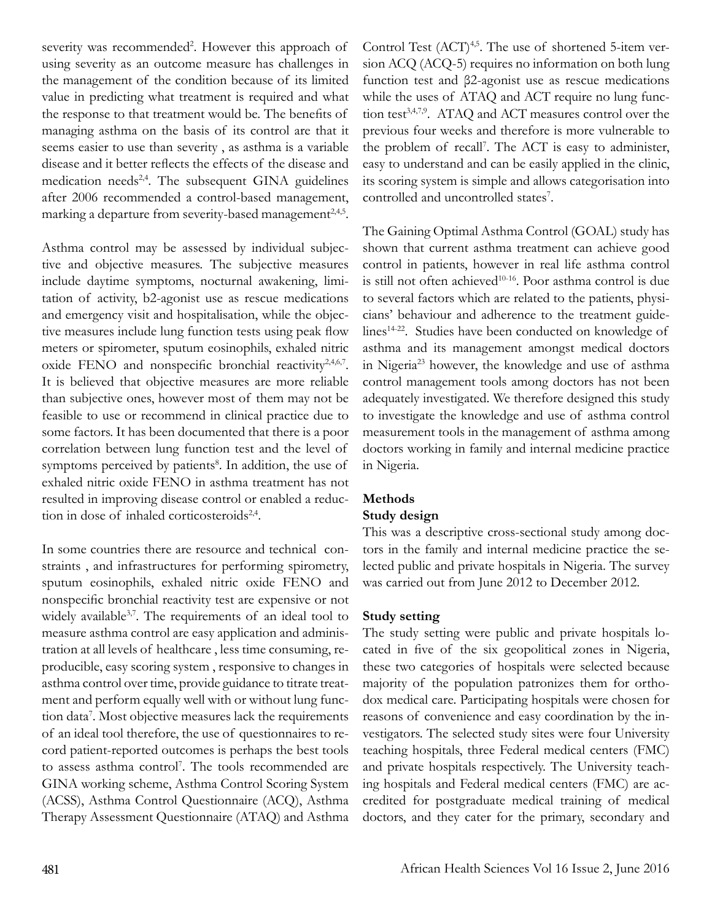severity was recommended<sup>2</sup>. However this approach of using severity as an outcome measure has challenges in the management of the condition because of its limited value in predicting what treatment is required and what the response to that treatment would be. The benefits of managing asthma on the basis of its control are that it seems easier to use than severity , as asthma is a variable disease and it better reflects the effects of the disease and medication needs<sup>2,4</sup>. The subsequent GINA guidelines after 2006 recommended a control-based management, marking a departure from severity-based management<sup>2,4,5</sup>.

Asthma control may be assessed by individual subjective and objective measures. The subjective measures include daytime symptoms, nocturnal awakening, limitation of activity, b2-agonist use as rescue medications and emergency visit and hospitalisation, while the objective measures include lung function tests using peak flow meters or spirometer, sputum eosinophils, exhaled nitric oxide FENO and nonspecific bronchial reactivity<sup>2,4,6,7</sup>. It is believed that objective measures are more reliable than subjective ones, however most of them may not be feasible to use or recommend in clinical practice due to some factors. It has been documented that there is a poor correlation between lung function test and the level of symptoms perceived by patients<sup>8</sup>. In addition, the use of exhaled nitric oxide FENO in asthma treatment has not resulted in improving disease control or enabled a reduction in dose of inhaled corticosteroids $2,4$ .

In some countries there are resource and technical constraints , and infrastructures for performing spirometry, sputum eosinophils, exhaled nitric oxide FENO and nonspecific bronchial reactivity test are expensive or not widely available<sup>3,7</sup>. The requirements of an ideal tool to measure asthma control are easy application and administration at all levels of healthcare , less time consuming, reproducible, easy scoring system , responsive to changes in asthma control over time, provide guidance to titrate treatment and perform equally well with or without lung function data7 . Most objective measures lack the requirements of an ideal tool therefore, the use of questionnaires to record patient-reported outcomes is perhaps the best tools to assess asthma control7 . The tools recommended are GINA working scheme, Asthma Control Scoring System (ACSS), Asthma Control Questionnaire (ACQ), Asthma Therapy Assessment Questionnaire (ATAQ) and Asthma

Control Test  $(ACT)^{4,5}$ . The use of shortened 5-item version ACQ (ACQ-5) requires no information on both lung function test and β2-agonist use as rescue medications while the uses of ATAQ and ACT require no lung function test<sup>3,4,7,9</sup>. ATAQ and ACT measures control over the previous four weeks and therefore is more vulnerable to the problem of recall<sup>7</sup>. The ACT is easy to administer, easy to understand and can be easily applied in the clinic, its scoring system is simple and allows categorisation into controlled and uncontrolled states<sup>7</sup>.

The Gaining Optimal Asthma Control (GOAL) study has shown that current asthma treatment can achieve good control in patients, however in real life asthma control is still not often achieved<sup>10-16</sup>. Poor asthma control is due to several factors which are related to the patients, physicians' behaviour and adherence to the treatment guidelines<sup>14-22</sup>. Studies have been conducted on knowledge of asthma and its management amongst medical doctors in Nigeria<sup>23</sup> however, the knowledge and use of asthma control management tools among doctors has not been adequately investigated. We therefore designed this study to investigate the knowledge and use of asthma control measurement tools in the management of asthma among doctors working in family and internal medicine practice in Nigeria.

# **Methods**

# **Study design**

This was a descriptive cross-sectional study among doctors in the family and internal medicine practice the selected public and private hospitals in Nigeria. The survey was carried out from June 2012 to December 2012.

# **Study setting**

The study setting were public and private hospitals located in five of the six geopolitical zones in Nigeria, these two categories of hospitals were selected because majority of the population patronizes them for orthodox medical care. Participating hospitals were chosen for reasons of convenience and easy coordination by the investigators. The selected study sites were four University teaching hospitals, three Federal medical centers (FMC) and private hospitals respectively. The University teaching hospitals and Federal medical centers (FMC) are accredited for postgraduate medical training of medical doctors, and they cater for the primary, secondary and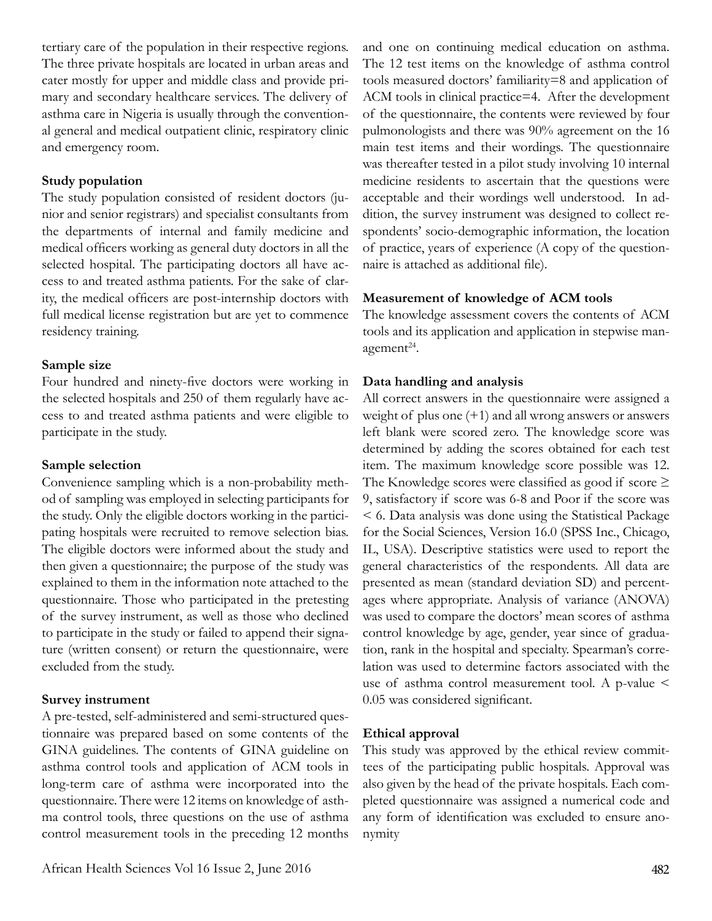tertiary care of the population in their respective regions. The three private hospitals are located in urban areas and cater mostly for upper and middle class and provide primary and secondary healthcare services. The delivery of asthma care in Nigeria is usually through the conventional general and medical outpatient clinic, respiratory clinic and emergency room.

### **Study population**

The study population consisted of resident doctors (junior and senior registrars) and specialist consultants from the departments of internal and family medicine and medical officers working as general duty doctors in all the selected hospital. The participating doctors all have access to and treated asthma patients. For the sake of clarity, the medical officers are post-internship doctors with full medical license registration but are yet to commence residency training.

# **Sample size**

Four hundred and ninety-five doctors were working in the selected hospitals and 250 of them regularly have access to and treated asthma patients and were eligible to participate in the study.

#### **Sample selection**

Convenience sampling which is a non-probability method of sampling was employed in selecting participants for the study. Only the eligible doctors working in the participating hospitals were recruited to remove selection bias. The eligible doctors were informed about the study and then given a questionnaire; the purpose of the study was explained to them in the information note attached to the questionnaire. Those who participated in the pretesting of the survey instrument, as well as those who declined to participate in the study or failed to append their signature (written consent) or return the questionnaire, were excluded from the study.

# **Survey instrument**

A pre-tested, self-administered and semi-structured questionnaire was prepared based on some contents of the GINA guidelines. The contents of GINA guideline on asthma control tools and application of ACM tools in long-term care of asthma were incorporated into the questionnaire. There were 12 items on knowledge of asthma control tools, three questions on the use of asthma control measurement tools in the preceding 12 months and one on continuing medical education on asthma. The 12 test items on the knowledge of asthma control tools measured doctors' familiarity=8 and application of ACM tools in clinical practice=4. After the development of the questionnaire, the contents were reviewed by four pulmonologists and there was 90% agreement on the 16 main test items and their wordings. The questionnaire was thereafter tested in a pilot study involving 10 internal medicine residents to ascertain that the questions were acceptable and their wordings well understood. In addition, the survey instrument was designed to collect respondents' socio-demographic information, the location of practice, years of experience (A copy of the questionnaire is attached as additional file).

# **Measurement of knowledge of ACM tools**

The knowledge assessment covers the contents of ACM tools and its application and application in stepwise management $24$ .

# **Data handling and analysis**

All correct answers in the questionnaire were assigned a weight of plus one (+1) and all wrong answers or answers left blank were scored zero. The knowledge score was determined by adding the scores obtained for each test item. The maximum knowledge score possible was 12. The Knowledge scores were classified as good if score  $\geq$ 9, satisfactory if score was 6-8 and Poor if the score was < 6. Data analysis was done using the Statistical Package for the Social Sciences, Version 16.0 (SPSS Inc., Chicago, IL, USA). Descriptive statistics were used to report the general characteristics of the respondents. All data are presented as mean (standard deviation SD) and percentages where appropriate. Analysis of variance (ANOVA) was used to compare the doctors' mean scores of asthma control knowledge by age, gender, year since of graduation, rank in the hospital and specialty. Spearman's correlation was used to determine factors associated with the use of asthma control measurement tool. A p-value < 0.05 was considered significant.

# **Ethical approval**

This study was approved by the ethical review committees of the participating public hospitals. Approval was also given by the head of the private hospitals. Each completed questionnaire was assigned a numerical code and any form of identification was excluded to ensure anonymity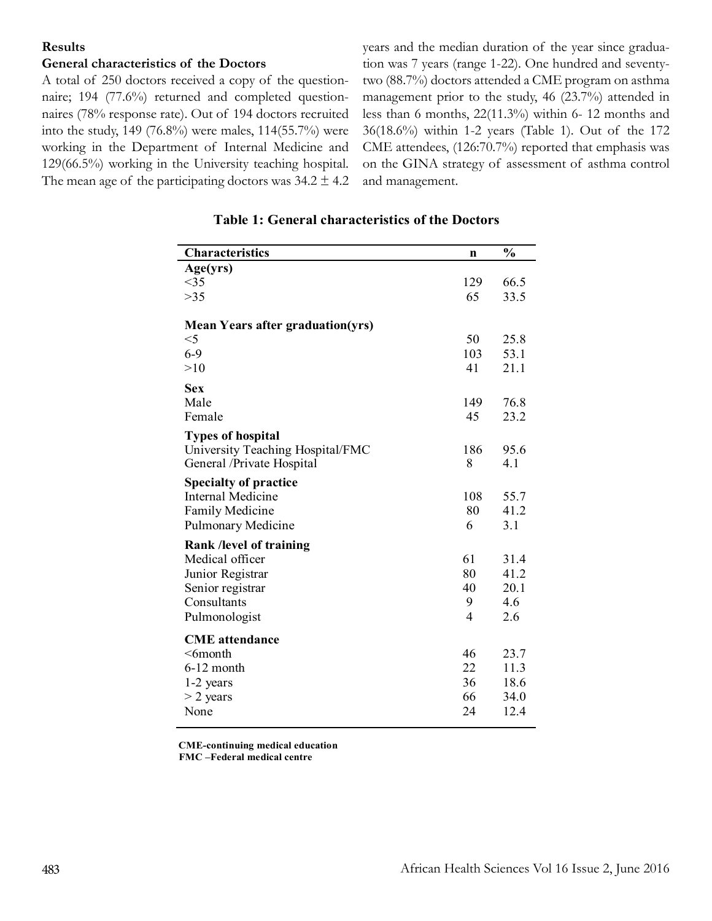#### **Results**

# **General characteristics of the Doctors**

A total of 250 doctors received a copy of the questionnaire; 194 (77.6%) returned and completed questionnaires (78% response rate). Out of 194 doctors recruited into the study, 149 (76.8%) were males, 114(55.7%) were working in the Department of Internal Medicine and 129(66.5%) working in the University teaching hospital. The mean age of the participating doctors was  $34.2 \pm 4.2$  years and the median duration of the year since graduation was 7 years (range 1-22). One hundred and seventytwo (88.7%) doctors attended a CME program on asthma management prior to the study, 46 (23.7%) attended in less than 6 months, 22(11.3%) within 6- 12 months and 36(18.6%) within 1-2 years (Table 1). Out of the 172 CME attendees, (126:70.7%) reported that emphasis was on the GINA strategy of assessment of asthma control and management.

| Characteristics                         | n              | $\frac{0}{0}$ |
|-----------------------------------------|----------------|---------------|
| Age(yrs)                                |                |               |
| <35                                     | 129            | 66.5          |
| $>35$                                   | 65             | 33.5          |
|                                         |                |               |
| <b>Mean Years after graduation(yrs)</b> |                |               |
| $<$ 5                                   | 50             | 25.8          |
| $6-9$                                   | 103<br>41      | 53.1          |
| >10                                     |                | 21.1          |
| <b>Sex</b>                              |                |               |
| Male                                    | 149            | 76.8          |
| Female                                  | 45             | 23.2          |
| <b>Types of hospital</b>                |                |               |
| University Teaching Hospital/FMC        | 186            | 95.6          |
| General / Private Hospital              | 8              | 4.1           |
| <b>Specialty of practice</b>            |                |               |
| <b>Internal Medicine</b>                | 108            | 55.7          |
| Family Medicine                         | 80             | 41.2          |
| Pulmonary Medicine                      | 6              | 3.1           |
| Rank /level of training                 |                |               |
| Medical officer                         | 61             | 31.4          |
| Junior Registrar                        | 80             | 41.2          |
| Senior registrar                        | 40             | 20.1          |
| Consultants                             | 9              | 4.6           |
| Pulmonologist                           | $\overline{4}$ | 2.6           |
| <b>CME</b> attendance                   |                |               |
| $<$ 6month                              | 46             | 23.7          |
| $6-12$ month                            | 22             | 11.3          |
| 1-2 years                               | 36             | 18.6          |
| $>$ 2 years                             | 66             | 34.0          |
| None                                    | 24             | 12.4          |

#### **Table 1: General characteristics of the Doctors**

**CME-continuing medical education FMC –Federal medical centre**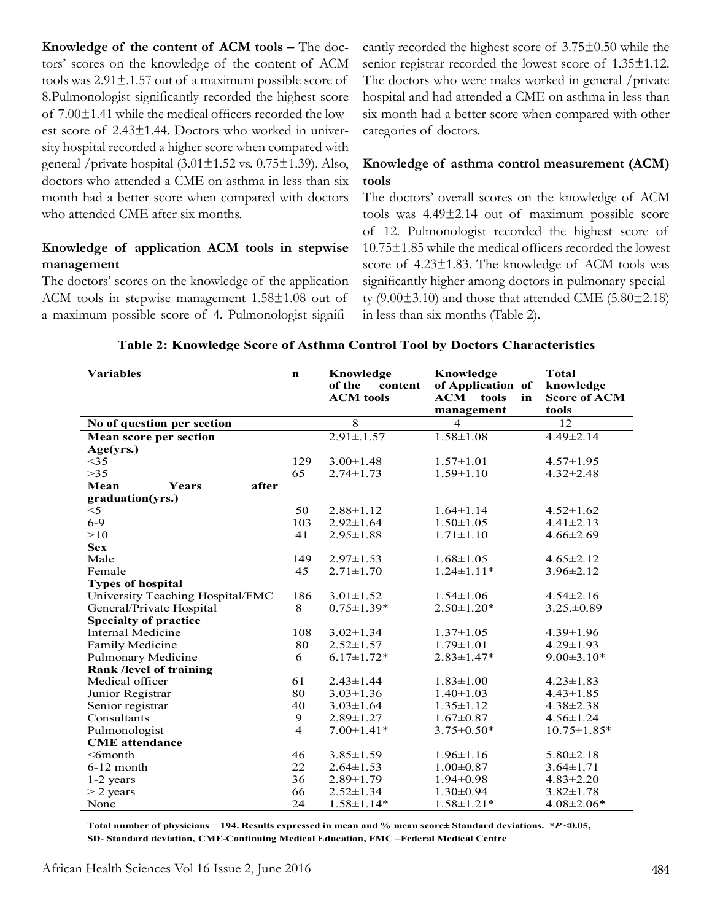**Knowledge of the content of ACM tools –** The doctors' scores on the knowledge of the content of ACM tools was  $2.91 \pm 0.157$  out of a maximum possible score of 8.Pulmonologist significantly recorded the highest score of 7.00±1.41 while the medical officers recorded the lowest score of 2.43±1.44. Doctors who worked in university hospital recorded a higher score when compared with general /private hospital  $(3.01 \pm 1.52 \text{ vs. } 0.75 \pm 1.39)$ . Also, doctors who attended a CME on asthma in less than six month had a better score when compared with doctors who attended CME after six months.

# **Knowledge of application ACM tools in stepwise management**

The doctors' scores on the knowledge of the application ACM tools in stepwise management 1.58±1.08 out of a maximum possible score of 4. Pulmonologist significantly recorded the highest score of 3.75±0.50 while the senior registrar recorded the lowest score of 1.35±1.12. The doctors who were males worked in general /private hospital and had attended a CME on asthma in less than six month had a better score when compared with other categories of doctors.

# **Knowledge of asthma control measurement (ACM) tools**

The doctors' overall scores on the knowledge of ACM tools was 4.49±2.14 out of maximum possible score of 12. Pulmonologist recorded the highest score of 10.75±1.85 while the medical officers recorded the lowest score of 4.23±1.83. The knowledge of ACM tools was significantly higher among doctors in pulmonary specialty  $(9.00\pm3.10)$  and those that attended CME  $(5.80\pm2.18)$ in less than six months (Table 2).

| <b>Variables</b>                 | $\mathbf n$    | Knowledge         | Knowledge              | <b>Total</b>        |
|----------------------------------|----------------|-------------------|------------------------|---------------------|
|                                  |                | of the<br>content | of Application of      | knowledge           |
|                                  |                | <b>ACM</b> tools  | <b>ACM</b> tools<br>in | <b>Score of ACM</b> |
|                                  |                |                   | management             | tools               |
| No of question per section       |                | $\overline{8}$    | $\overline{4}$         | 12                  |
| Mean score per section           |                | $2.91 \pm 1.57$   | $1.58 \pm 1.08$        | $4.49 \pm 2.14$     |
| Age(yrs.)                        |                |                   |                        |                     |
| <35                              | 129            | $3.00 \pm 1.48$   | $1.57 \pm 1.01$        | $4.57 \pm 1.95$     |
| $>35$                            | 65             | $2.74 \pm 1.73$   | $1.59 \pm 1.10$        | $4.32 \pm 2.48$     |
| Mean<br>after<br><b>Years</b>    |                |                   |                        |                     |
| graduation(yrs.)                 |                |                   |                        |                     |
| $<$ 5                            | 50             | $2.88 \pm 1.12$   | $1.64 \pm 1.14$        | $4.52 \pm 1.62$     |
| $6 - 9$                          | 103            | $2.92 \pm 1.64$   | $1.50 \pm 1.05$        | $4.41 \pm 2.13$     |
| >10                              | 41             | $2.95 \pm 1.88$   | $1.71 \pm 1.10$        | $4.66 \pm 2.69$     |
| <b>Sex</b>                       |                |                   |                        |                     |
| Male                             | 149            | $2.97 \pm 1.53$   | $1.68 \pm 1.05$        | $4.65 \pm 2.12$     |
| Female                           | 45             | $2.71 \pm 1.70$   | $1.24 \pm 1.11*$       | $3.96 \pm 2.12$     |
| <b>Types of hospital</b>         |                |                   |                        |                     |
| University Teaching Hospital/FMC | 186            | $3.01 \pm 1.52$   | $1.54 \pm 1.06$        | $4.54 \pm 2.16$     |
| General/Private Hospital         | 8              | $0.75 \pm 1.39*$  | $2.50 \pm 1.20*$       | $3.25.+0.89$        |
| <b>Specialty of practice</b>     |                |                   |                        |                     |
| Internal Medicine                | 108            | $3.02 \pm 1.34$   | $1.37 \pm 1.05$        | $4.39 \pm 1.96$     |
| Family Medicine                  | 80             | $2.52 \pm 1.57$   | $1.79 \pm 1.01$        | $4.29 \pm 1.93$     |
| Pulmonary Medicine               | 6              | $6.17 \pm 1.72*$  | $2.83 \pm 1.47*$       | $9.00 \pm 3.10*$    |
| Rank /level of training          |                |                   |                        |                     |
| Medical officer                  | 61             | $2.43 \pm 1.44$   | $1.83 \pm 1.00$        | $4.23 \pm 1.83$     |
| Junior Registrar                 | 80             | $3.03 \pm 1.36$   | $1.40 \pm 1.03$        | $4.43 \pm 1.85$     |
| Senior registrar                 | 40             | $3.03 \pm 1.64$   | $1.35 \pm 1.12$        | $4.38 \pm 2.38$     |
| Consultants                      | 9              | $2.89 \pm 1.27$   | $1.67 \pm 0.87$        | $4.56 \pm 1.24$     |
| Pulmonologist                    | $\overline{4}$ | $7.00 \pm 1.41*$  | $3.75 \pm 0.50*$       | $10.75 \pm 1.85*$   |
| <b>CME</b> attendance            |                |                   |                        |                     |
| $<$ 6month                       | 46             | $3.85 \pm 1.59$   | $1.96 \pm 1.16$        | $5.80 \pm 2.18$     |
| $6-12$ month                     | 22             | $2.64 \pm 1.53$   | $1.00 \pm 0.87$        | $3.64 \pm 1.71$     |
| 1-2 years                        | 36             | $2.89 \pm 1.79$   | $1.94 \pm 0.98$        | $4.83 \pm 2.20$     |
| $>$ 2 years                      | 66             | $2.52 \pm 1.34$   | $1.30 \pm 0.94$        | $3.82 \pm 1.78$     |
| None                             | 24             | $1.58 \pm 1.14*$  | $1.58 \pm 1.21*$       | $4.08 \pm 2.06*$    |

 **Total number of physicians = 194. Results expressed in mean and % mean score± Standard deviations. \****P* **<0.05, SD- Standard deviation, CME-Continuing Medical Education, FMC –Federal Medical Centre**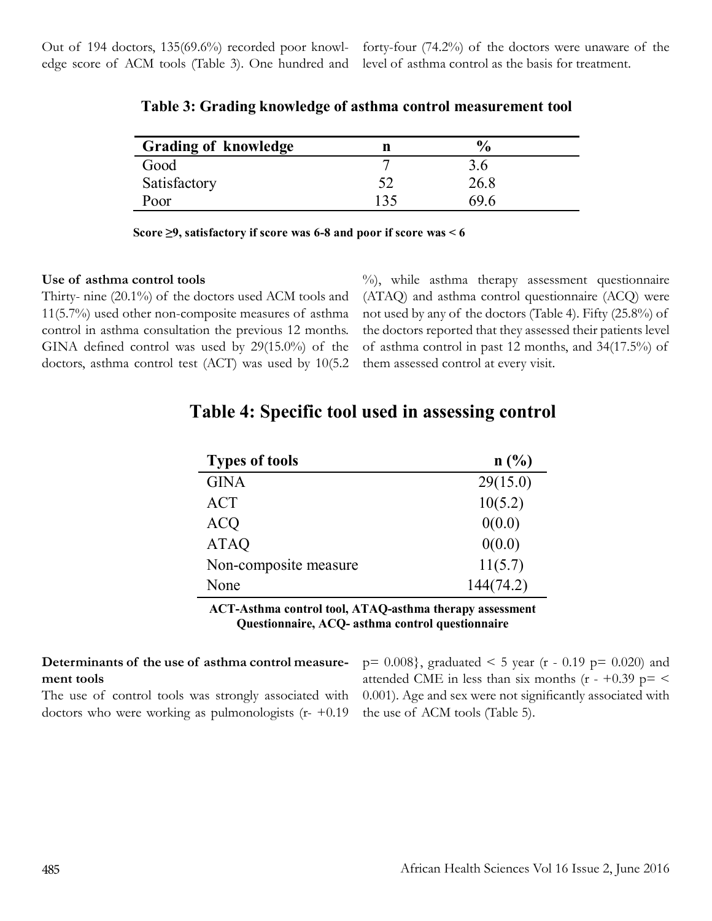forty-four (74.2%) of the doctors were unaware of the level of asthma control as the basis for treatment.

| <b>Grading of knowledge</b> |     | $\frac{6}{10}$ |  |
|-----------------------------|-----|----------------|--|
| Good                        |     | 3.6            |  |
| Satisfactory                |     | 26.8           |  |
| Poor                        | 135 | 69 6           |  |

**Table 3: Grading knowledge of asthma control measurement tool**

 **Score ≥9, satisfactory if score was 6-8 and poor if score was < 6**

#### **Use of asthma control tools**

Thirty- nine (20.1%) of the doctors used ACM tools and 11(5.7%) used other non-composite measures of asthma control in asthma consultation the previous 12 months. GINA defined control was used by 29(15.0%) of the doctors, asthma control test (ACT) was used by 10(5.2

%), while asthma therapy assessment questionnaire (ATAQ) and asthma control questionnaire (ACQ) were not used by any of the doctors (Table 4). Fifty (25.8%) of the doctors reported that they assessed their patients level of asthma control in past 12 months, and 34(17.5%) of them assessed control at every visit.

| <b>Types of tools</b> | n(%)      |
|-----------------------|-----------|
| <b>GINA</b>           | 29(15.0)  |
| <b>ACT</b>            | 10(5.2)   |
| <b>ACQ</b>            | 0(0.0)    |
| <b>ATAQ</b>           | 0(0.0)    |
| Non-composite measure | 11(5.7)   |
| None                  | 144(74.2) |

# **Table 4: Specific tool used in assessing control**

**ACT-Asthma control tool, ATAQ-asthma therapy assessment Questionnaire, ACQ- asthma control questionnaire**

# **Determinants of the use of asthma control measurement tools**

The use of control tools was strongly associated with doctors who were working as pulmonologists  $(r - +0.19)$ 

 $p= 0.008$ , graduated < 5 year (r - 0.19 p= 0.020) and attended CME in less than six months  $(r - +0.39)$  p= < 0.001). Age and sex were not significantly associated with the use of ACM tools (Table 5).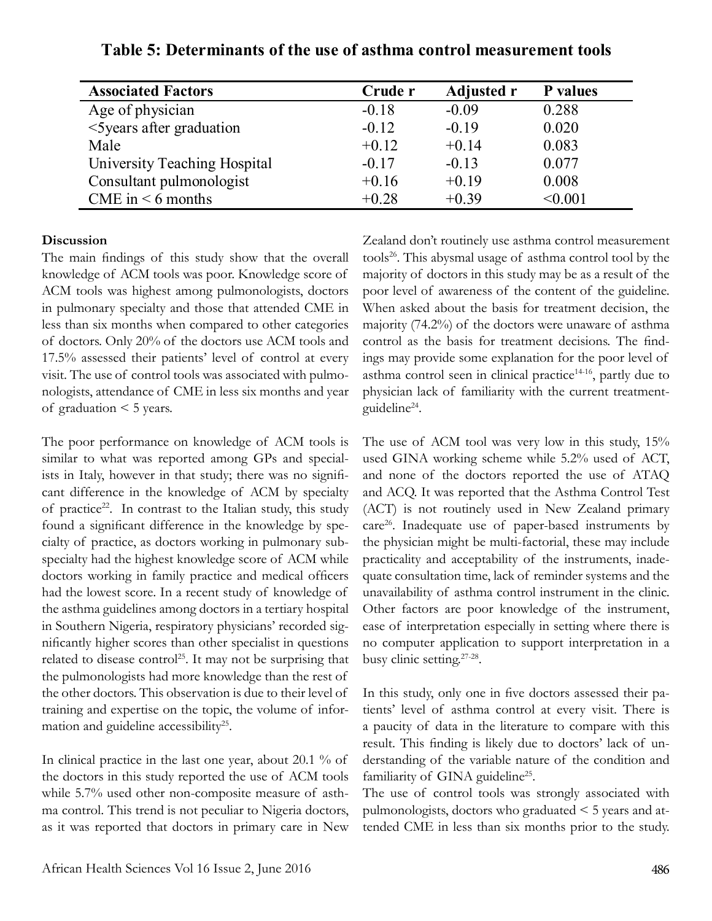| <b>Associated Factors</b>    | Crude r | <b>Adjusted r</b> | <b>P</b> values |
|------------------------------|---------|-------------------|-----------------|
| Age of physician             | $-0.18$ | $-0.09$           | 0.288           |
| <5years after graduation     | $-0.12$ | $-0.19$           | 0.020           |
| Male                         | $+0.12$ | $+0.14$           | 0.083           |
| University Teaching Hospital | $-0.17$ | $-0.13$           | 0.077           |
| Consultant pulmonologist     | $+0.16$ | $+0.19$           | 0.008           |
| CME in $\leq 6$ months       | $+0.28$ | $+0.39$           | < 0.001         |

**Table 5: Determinants of the use of asthma control measurement tools**

#### **Discussion**

The main findings of this study show that the overall knowledge of ACM tools was poor. Knowledge score of ACM tools was highest among pulmonologists, doctors in pulmonary specialty and those that attended CME in less than six months when compared to other categories of doctors. Only 20% of the doctors use ACM tools and 17.5% assessed their patients' level of control at every visit. The use of control tools was associated with pulmonologists, attendance of CME in less six months and year of graduation < 5 years.

The poor performance on knowledge of ACM tools is similar to what was reported among GPs and specialists in Italy, however in that study; there was no significant difference in the knowledge of ACM by specialty of practice<sup>22</sup>. In contrast to the Italian study, this study found a significant difference in the knowledge by specialty of practice, as doctors working in pulmonary subspecialty had the highest knowledge score of ACM while doctors working in family practice and medical officers had the lowest score. In a recent study of knowledge of the asthma guidelines among doctors in a tertiary hospital in Southern Nigeria, respiratory physicians' recorded significantly higher scores than other specialist in questions related to disease control<sup>25</sup>. It may not be surprising that the pulmonologists had more knowledge than the rest of the other doctors. This observation is due to their level of training and expertise on the topic, the volume of information and guideline accessibility<sup>25</sup>.

In clinical practice in the last one year, about 20.1 % of the doctors in this study reported the use of ACM tools while 5.7% used other non-composite measure of asthma control. This trend is not peculiar to Nigeria doctors, as it was reported that doctors in primary care in New Zealand don't routinely use asthma control measurement tools<sup>26</sup>. This abysmal usage of asthma control tool by the majority of doctors in this study may be as a result of the poor level of awareness of the content of the guideline. When asked about the basis for treatment decision, the majority (74.2%) of the doctors were unaware of asthma control as the basis for treatment decisions. The findings may provide some explanation for the poor level of asthma control seen in clinical practice $14-16$ , partly due to physician lack of familiarity with the current treatmentguideline24.

The use of ACM tool was very low in this study,  $15\%$ used GINA working scheme while 5.2% used of ACT, and none of the doctors reported the use of ATAQ and ACQ. It was reported that the Asthma Control Test (ACT) is not routinely used in New Zealand primary care<sup>26</sup>. Inadequate use of paper-based instruments by the physician might be multi-factorial, these may include practicality and acceptability of the instruments, inadequate consultation time, lack of reminder systems and the unavailability of asthma control instrument in the clinic. Other factors are poor knowledge of the instrument, ease of interpretation especially in setting where there is no computer application to support interpretation in a busy clinic setting.27-28.

In this study, only one in five doctors assessed their patients' level of asthma control at every visit. There is a paucity of data in the literature to compare with this result. This finding is likely due to doctors' lack of understanding of the variable nature of the condition and familiarity of GINA guideline<sup>25</sup>.

The use of control tools was strongly associated with pulmonologists, doctors who graduated < 5 years and attended CME in less than six months prior to the study.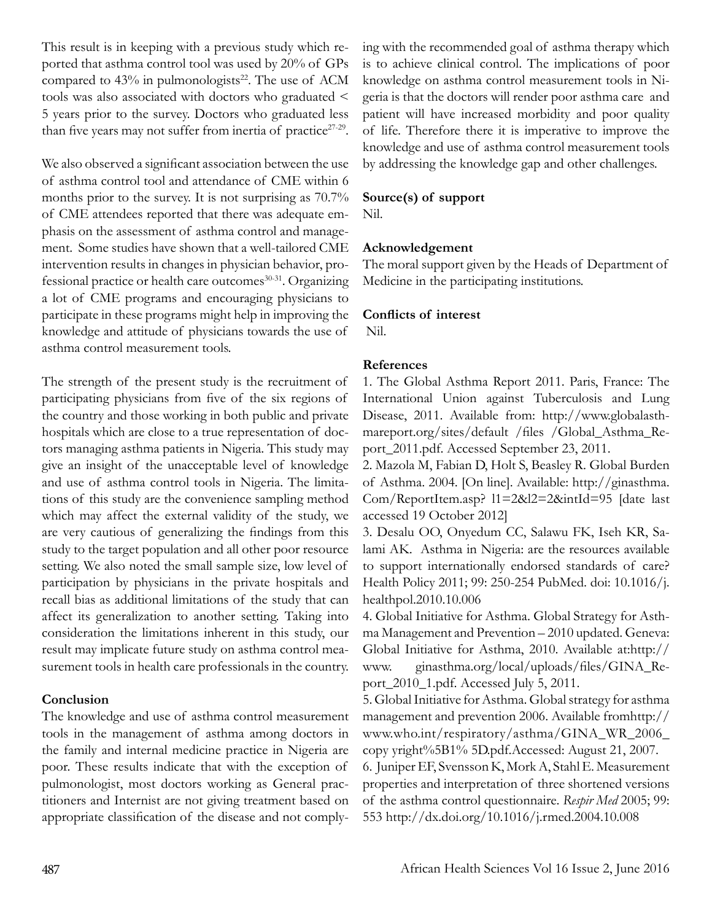This result is in keeping with a previous study which reported that asthma control tool was used by 20% of GPs compared to  $43\%$  in pulmonologists<sup>22</sup>. The use of ACM tools was also associated with doctors who graduated < 5 years prior to the survey. Doctors who graduated less than five years may not suffer from inertia of practice $27-29$ .

We also observed a significant association between the use of asthma control tool and attendance of CME within 6 months prior to the survey. It is not surprising as 70.7% of CME attendees reported that there was adequate emphasis on the assessment of asthma control and management. Some studies have shown that a well-tailored CME intervention results in changes in physician behavior, professional practice or health care outcomes<sup>30-31</sup>. Organizing a lot of CME programs and encouraging physicians to participate in these programs might help in improving the knowledge and attitude of physicians towards the use of asthma control measurement tools.

The strength of the present study is the recruitment of participating physicians from five of the six regions of the country and those working in both public and private hospitals which are close to a true representation of doctors managing asthma patients in Nigeria. This study may give an insight of the unacceptable level of knowledge and use of asthma control tools in Nigeria. The limitations of this study are the convenience sampling method which may affect the external validity of the study, we are very cautious of generalizing the findings from this study to the target population and all other poor resource setting. We also noted the small sample size, low level of participation by physicians in the private hospitals and recall bias as additional limitations of the study that can affect its generalization to another setting. Taking into consideration the limitations inherent in this study, our result may implicate future study on asthma control measurement tools in health care professionals in the country.

# **Conclusion**

The knowledge and use of asthma control measurement tools in the management of asthma among doctors in the family and internal medicine practice in Nigeria are poor. These results indicate that with the exception of pulmonologist, most doctors working as General practitioners and Internist are not giving treatment based on appropriate classification of the disease and not complying with the recommended goal of asthma therapy which is to achieve clinical control. The implications of poor knowledge on asthma control measurement tools in Nigeria is that the doctors will render poor asthma care and patient will have increased morbidity and poor quality of life. Therefore there it is imperative to improve the knowledge and use of asthma control measurement tools by addressing the knowledge gap and other challenges.

#### **Source(s) of support**

Nil.

#### **Acknowledgement**

The moral support given by the Heads of Department of Medicine in the participating institutions.

#### **Conflicts of interest**

Nil.

#### **References**

1. The Global Asthma Report 2011. Paris, France: The International Union against Tuberculosis and Lung Disease, 2011. Available from: http://www.globalasthmareport.org/sites/default /files /Global\_Asthma\_Report\_2011.pdf. Accessed September 23, 2011.

2. Mazola M, Fabian D, Holt S, Beasley R. Global Burden of Asthma. 2004. [On line]. Available: http://ginasthma. Com/ReportItem.asp? l1=2&l2=2&intId=95 [date last accessed 19 October 2012]

3. Desalu OO, Onyedum CC, Salawu FK, Iseh KR, Salami AK. Asthma in Nigeria: are the resources available to support internationally endorsed standards of care? Health Policy 2011; 99: 250-254 PubMed. doi: 10.1016/j. healthpol.2010.10.006

4. Global Initiative for Asthma. Global Strategy for Asthma Management and Prevention – 2010 updated. Geneva: Global Initiative for Asthma, 2010. Available at:http:// www. ginasthma.org/local/uploads/files/GINA\_Report\_2010\_1.pdf. Accessed July 5, 2011.

5. Global Initiative for Asthma. Global strategy for asthma management and prevention 2006. Available fromhttp:// www.who.int/respiratory/asthma/GINA\_WR\_2006\_ copy yright%5B1% 5D.pdf.Accessed: August 21, 2007.

6. Juniper EF, Svensson K, Mork A, Stahl E. Measurement properties and interpretation of three shortened versions of the asthma control questionnaire. *Respir Med* 2005; 99: 553 http://dx.doi.org/10.1016/j.rmed.2004.10.008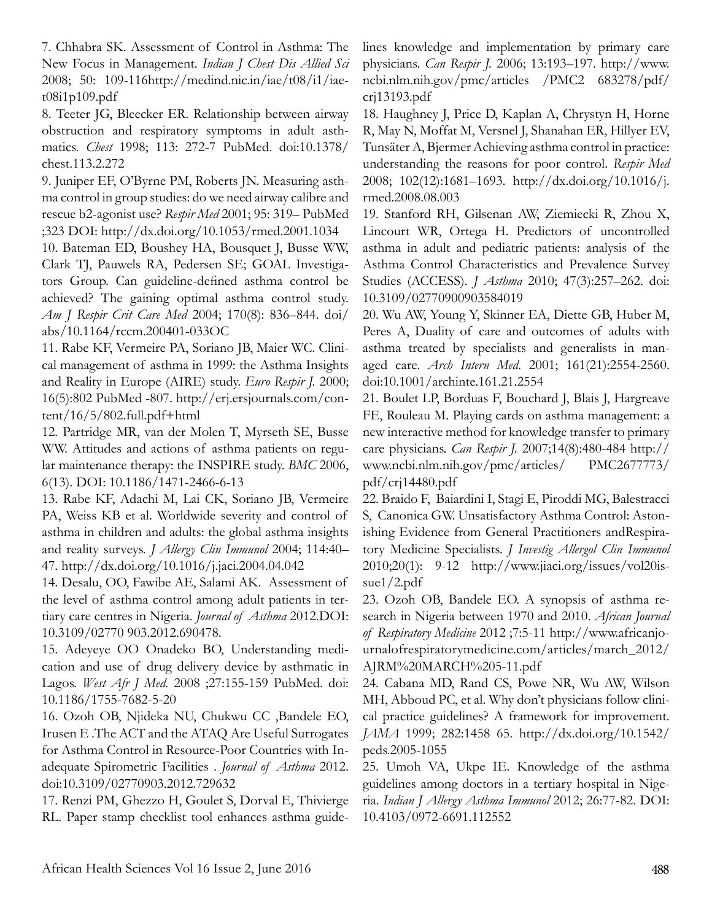7. Chhabra SK. Assessment of Control in Asthma: The New Focus in Management. *Indian J Chest Dis Allied Sci* 2008; 50: 109-116http://medind.nic.in/iae/t08/i1/iaet08i1p109.pdf

8. Teeter JG, Bleecker ER. Relationship between airway obstruction and respiratory symptoms in adult asthmatics. *Chest* 1998; 113: 272-7 PubMed. doi:10.1378/ chest.113.2.272

9. Juniper EF, O'Byrne PM, Roberts JN. Measuring asthma control in group studies: do we need airway calibre and rescue b2-agonist use? *Respir Med* 2001; 95: 319– PubMed ;323 DOI: http://dx.doi.org/10.1053/rmed.2001.1034

10. Bateman ED, Boushey HA, Bousquet J, Busse WW, Clark TJ, Pauwels RA, Pedersen SE; GOAL Investigators Group. Can guideline-defined asthma control be achieved? The gaining optimal asthma control study. *Am J Respir Crit Care Med* 2004; 170(8): 836–844. doi/ abs/10.1164/rccm.200401-033OC

11. Rabe KF, Vermeire PA, Soriano JB, Maier WC. Clinical management of asthma in 1999: the Asthma Insights and Reality in Europe (AIRE) study. *Euro Respir J.* 2000; 16(5):802 PubMed -807. http://erj.ersjournals.com/content/16/5/802.full.pdf+html

12. Partridge MR, van der Molen T, Myrseth SE, Busse WW. Attitudes and actions of asthma patients on regular maintenance therapy: the INSPIRE study. *BMC* 2006, 6(13). DOI: 10.1186/1471-2466-6-13

13. Rabe KF, Adachi M, Lai CK, Soriano JB, Vermeire PA, Weiss KB et al. Worldwide severity and control of asthma in children and adults: the global asthma insights and reality surveys. *J Allergy Clin Immunol* 2004; 114:40– 47. http://dx.doi.org/10.1016/j.jaci.2004.04.042

14. Desalu, OO, Fawibe AE, Salami AK. Assessment of the level of asthma control among adult patients in tertiary care centres in Nigeria. *Journal of Asthma* 2012.DOI: 10.3109/02770 903.2012.690478.

15. Adeyeye OO Onadeko BO, Understanding medication and use of drug delivery device by asthmatic in Lagos. *West Afr J Med.* 2008 ;27:155-159 PubMed. doi: 10.1186/1755-7682-5-20

16. Ozoh OB, Njideka NU, Chukwu CC ,Bandele EO, Irusen E .The ACT and the ATAQ Are Useful Surrogates for Asthma Control in Resource-Poor Countries with Inadequate Spirometric Facilities . *Journal of Asthma* 2012. doi:10.3109/02770903.2012.729632

17. Renzi PM, Ghezzo H, Goulet S, Dorval E, Thivierge RL. Paper stamp checklist tool enhances asthma guidelines knowledge and implementation by primary care physicians. *Can Respir J.* 2006; 13:193–197. http://www. ncbi.nlm.nih.gov/pmc/articles /PMC2 683278/pdf/ crj13193.pdf

18. Haughney J, Price D, Kaplan A, Chrystyn H, Horne R, May N, Moffat M, Versnel J, Shanahan ER, Hillyer EV, Tunsäter A, Bjermer Achieving asthma control in practice: understanding the reasons for poor control. *Respir Med*  2008; 102(12):1681–1693. http://dx.doi.org/10.1016/j. rmed.2008.08.003

19. Stanford RH, Gilsenan AW, Ziemiecki R, Zhou X, Lincourt WR, Ortega H. Predictors of uncontrolled asthma in adult and pediatric patients: analysis of the Asthma Control Characteristics and Prevalence Survey Studies (ACCESS). *J Asthma* 2010; 47(3):257–262. doi: 10.3109/02770900903584019

20. Wu AW, Young Y, Skinner EA, Diette GB, Huber M, Peres A, Duality of care and outcomes of adults with asthma treated by specialists and generalists in managed care. *Arch Intern Med*. 2001; 161(21):2554-2560. doi:10.1001/archinte.161.21.2554

21. Boulet LP, Borduas F, Bouchard J, Blais J, Hargreave FE, Rouleau M. Playing cards on asthma management: a new interactive method for knowledge transfer to primary care physicians. *Can Respir J.* 2007;14(8):480-484 http:// www.ncbi.nlm.nih.gov/pmc/articles/ PMC2677773/ pdf/crj14480.pdf

22. Braido F, Baiardini I, Stagi E, Piroddi MG, Balestracci S, Canonica GW. Unsatisfactory Asthma Control: Astonishing Evidence from General Practitioners andRespiratory Medicine Specialists. *J Investig Allergol Clin Immunol* 2010;20(1): 9-12 http://www.jiaci.org/issues/vol20issue1/2.pdf

23. Ozoh OB, Bandele EO. A synopsis of asthma research in Nigeria between 1970 and 2010. *African Journal of Respiratory Medicine* 2012 ;7:5-11 http://www.africanjournalofrespiratorymedicine.com/articles/march\_2012/ AJRM%20MARCH%205-11.pdf

24. Cabana MD, Rand CS, Powe NR, Wu AW, Wilson MH, Abboud PC, et al. Why don't physicians follow clinical practice guidelines? A framework for improvement. *JAMA* 1999; 282:1458 65. http://dx.doi.org/10.1542/ peds.2005-1055

25. Umoh VA, Ukpe IE. Knowledge of the asthma guidelines among doctors in a tertiary hospital in Nigeria. *Indian J Allergy Asthma Immunol* 2012; 26:77-82. DOI: 10.4103/0972-6691.112552